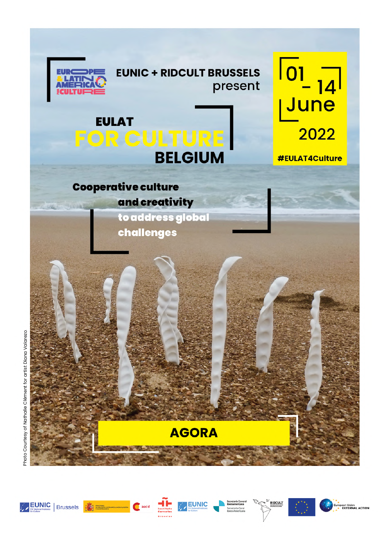

# **EUNIC + RIDCULT BRUSSELS** present



 $\begin{array}{c} \boxed{0} \\ \boxed{-14} \\ \boxed{June} \end{array}$ 2022

**#EULAT4Culture** 

**Cooperative culture** and creativity

to address global challenges

Photo Courtesy of Nathalie Clément for artist Diana Valarezo.



**AGORA** 



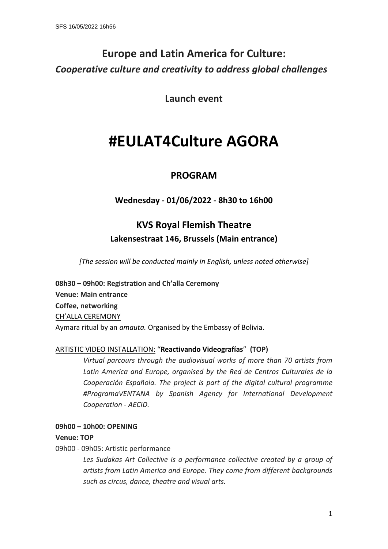# **Europe and Latin America for Culture:** *Cooperative culture and creativity to address global challenges*

**Launch event**

# **#EULAT4Culture AGORA**

# **PROGRAM**

# **Wednesday - 01/06/2022 - 8h30 to 16h00**

# **KVS Royal Flemish Theatre Lakensestraat 146, Brussels (Main entrance)**

*[The session will be conducted mainly in English, unless noted otherwise]*

**08h30 - 09h00: Registration and Ch'alla Ceremony Venue: Main entrance Coffee, networking**  CH'ALLA CEREMONY Aymara ritual by an *amauta.* Organised by the Embassy of Bolivia.

#### ARTISTIC VIDEO INSTALLATION: ͞**Reactivando Videografías**͟ **(TOP)**

*Virtual parcours through the audiovisual works of more than 70 artists from Latin America and Europe, organised by the Red de Centros Culturales de la Cooperación Española. The project is part of the digital cultural programme #ProgramaVENTANA by Spanish Agency for International Development Cooperation - AECID.*

#### **09h00 ʹ 10h00: OPENING**

**Venue: TOP**

09h00 - 09h05: Artistic performance

*Les Sudakas Art Collective is a performance collective created by a group of artists from Latin America and Europe. They come from different backgrounds such as circus, dance, theatre and visual arts.*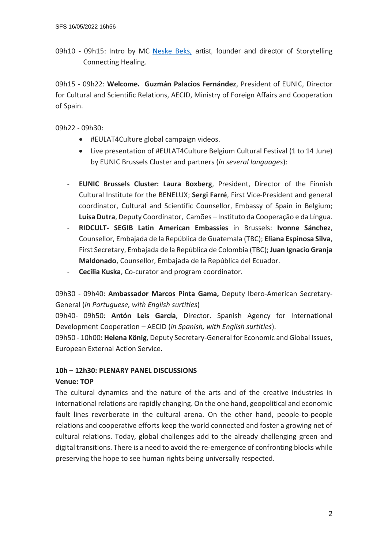09h10 - 09h15: Intro by MC [Neske Beks,](https://www.neske.nu/) artist, founder and director of Storytelling Connecting Healing.

09h15 - 09h22: **Welcome. Guzmán Palacios Fernández**, President of EUNIC, Director for Cultural and Scientific Relations, AECID, Ministry of Foreign Affairs and Cooperation of Spain.

09h22 - 09h30:

- #EULAT4Culture global campaign videos.
- Live presentation of #EULAT4Culture Belgium Cultural Festival (1 to 14 June) by EUNIC Brussels Cluster and partners (*in several languages*):
- **EUNIC Brussels Cluster: Laura Boxberg**, President, Director of the Finnish Cultural Institute for the BENELUX; **Sergi Farré**, First Vice-President and general coordinator, Cultural and Scientific Counsellor, Embassy of Spain in Belgium; Luísa Dutra, Deputy Coordinator, Camões - Instituto da Cooperação e da Língua.
- **RIDCULT- SEGIB Latin American Embassies** in Brussels: **Ivonne Sánchez**, Counsellor, Embajada de la República de Guatemala (TBC); **Eliana Espinosa Silva**, First Secretary, Embajada de la República de Colombia (TBC); **Juan Ignacio Granja Maldonado**, Counsellor, Embajada de la República del Ecuador.
- **Cecilia Kuska**, Co-curator and program coordinator.

## 09h30 - 09h40: **Ambassador Marcos Pinta Gama,** Deputy Ibero-American Secretary-General (*in Portuguese, with English surtitles*)

09h40- 09h50: **Antón Leis García**, Director. Spanish Agency for International Development Cooperation - AECID (*in Spanish, with English surtitles*).

09h50 - 10h00**: Helena König**, Deputy Secretary-General for Economic and Global Issues, European External Action Service.

#### **10h ʹ 12h30: PLENARY PANEL DISCUSSIONS**

#### **Venue: TOP**

The cultural dynamics and the nature of the arts and of the creative industries in international relations are rapidly changing. On the one hand, geopolitical and economic fault lines reverberate in the cultural arena. On the other hand, people-to-people relations and cooperative efforts keep the world connected and foster a growing net of cultural relations. Today, global challenges add to the already challenging green and digital transitions. There is a need to avoid the re-emergence of confronting blocks while preserving the hope to see human rights being universally respected.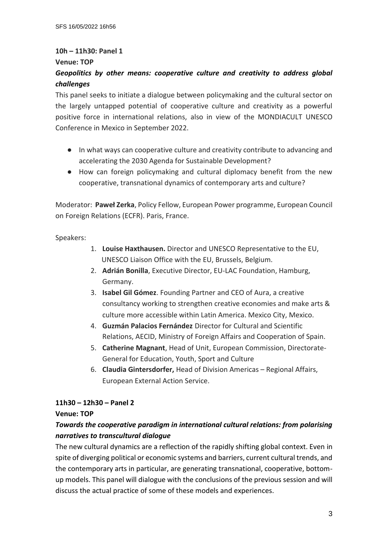### **10h ʹ 11h30: Panel 1**

#### **Venue: TOP**

## *Geopolitics by other means: cooperative culture and creativity to address global challenges*

This panel seeks to initiate a dialogue between policymaking and the cultural sector on the largely untapped potential of cooperative culture and creativity as a powerful positive force in international relations, also in view of the MONDIACULT UNESCO Conference in Mexico in September 2022.

- In what ways can cooperative culture and creativity contribute to advancing and accelerating the 2030 Agenda for Sustainable Development?
- Ɣ How can foreign policymaking and cultural diplomacy benefit from the new cooperative, transnational dynamics of contemporary arts and culture?

Moderator: Paweł Zerka, Policy Fellow, European Power programme, European Council on Foreign Relations (ECFR). Paris, France.

Speakers:

- 1. **Louise Haxthausen.** Director and UNESCO Representative to the EU, UNESCO Liaison Office with the EU, Brussels, Belgium.
- 2. **Adrián Bonilla**, Executive Director, EU-LAC Foundation, Hamburg, Germany.
- 3. **Isabel Gil Gómez**. Founding Partner and CEO of Aura, a creative consultancy working to strengthen creative economies and make arts & culture more accessible within Latin America. Mexico City, Mexico.
- 4. **Guzmán Palacios Fernández** Director for Cultural and Scientific Relations, AECID, Ministry of Foreign Affairs and Cooperation of Spain.
- 5. **Catherine Magnant**, Head of Unit, European Commission, Directorate-General for Education, Youth, Sport and Culture
- 6. **Claudia Gintersdorfer,** Head of Division Americas Regional Affairs, European External Action Service.

#### **11h30 ʹ 12h30 ʹ Panel 2**

#### **Venue: TOP**

## *Towards the cooperative paradigm in international cultural relations: from polarising narratives to transcultural dialogue*

The new cultural dynamics are a reflection of the rapidly shifting global context. Even in spite of diverging political or economic systems and barriers, current cultural trends, and the contemporary arts in particular, are generating transnational, cooperative, bottomup models. This panel will dialogue with the conclusions of the previous session and will discuss the actual practice of some of these models and experiences.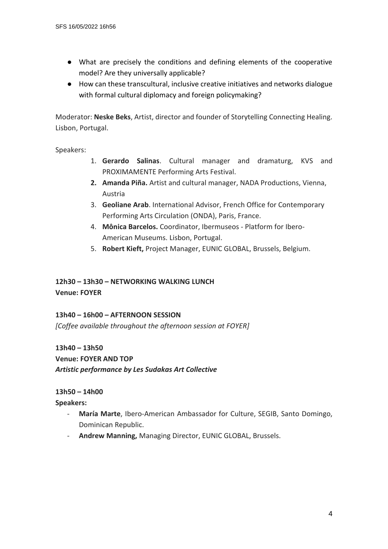- Ɣ What are precisely the conditions and defining elements of the cooperative model? Are they universally applicable?
- Ɣ How can these transcultural, inclusive creative initiatives and networks dialogue with formal cultural diplomacy and foreign policymaking?

Moderator: **Neske Beks**, Artist, director and founder of Storytelling Connecting Healing. Lisbon, Portugal.

Speakers:

- 1. **Gerardo Salinas**. Cultural manager and dramaturg, KVS and PROXIMAMENTE Performing Arts Festival.
- **2. Amanda Piña.** Artist and cultural manager, NADA Productions, Vienna, Austria
- 3. **Geoliane Arab**. International Advisor, French Office for Contemporary Performing Arts Circulation (ONDA), Paris, France.
- 4. **Mônica Barcelos.** Coordinator, Ibermuseos Platform for Ibero-American Museums. Lisbon, Portugal.
- 5. **Robert Kieft,** Project Manager, EUNIC GLOBAL, Brussels, Belgium.

# **12h30 ʹ 13h30 ʹ NETWORKING WALKING LUNCH**

**Venue: FOYER**

#### **13h40 ʹ 16h00 ʹ AFTERNOON SESSION**

*[Coffee available throughout the afternoon session at FOYER]*

**13h40 ʹ 13h50**

#### **Venue: FOYER AND TOP**

*Artistic performance by Les Sudakas Art Collective*

#### **13h50 ʹ 14h00**

**Speakers:**

- **María Marte**, Ibero-American Ambassador for Culture, SEGIB, Santo Domingo, Dominican Republic.
- **Andrew Manning,** Managing Director, EUNIC GLOBAL, Brussels.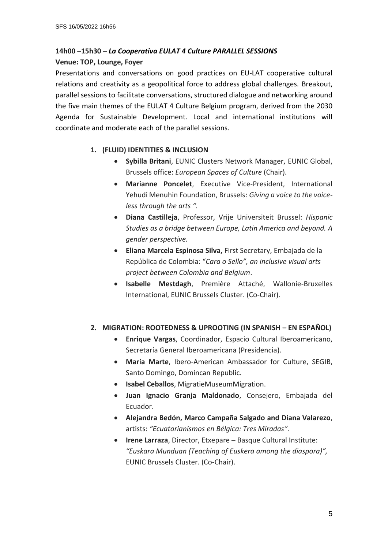## **14h00 ʹ15h30 ʹ** *La Cooperativa EULAT 4 Culture PARALLEL SESSIONS* **Venue: TOP, Lounge, Foyer**

Presentations and conversations on good practices on EU-LAT cooperative cultural relations and creativity as a geopolitical force to address global challenges. Breakout, parallel sessions to facilitate conversations, structured dialogue and networking around the five main themes of the EULAT 4 Culture Belgium program, derived from the 2030 Agenda for Sustainable Development. Local and international institutions will coordinate and moderate each of the parallel sessions.

#### **1. (FLUID) IDENTITIES & INCLUSION**

- **Sybilla Britani**, EUNIC Clusters Network Manager, EUNIC Global, Brussels office: *European Spaces of Culture* (Chair).
- **Marianne Poncelet**, Executive Vice-President, International Yehudi Menuhin Foundation, Brussels: *Giving a voice to the voiceless through the arts ".*
- x **Diana Castilleja**, Professor, Vrije Universiteit Brussel: *Hispanic Studies as a bridge between Europe, Latin America and beyond. A gender perspective.*
- x **Eliana Marcela Espinosa Silva,** First Secretary, Embajada de la República de Colombia: "Cara o Sello", an inclusive visual arts *project between Colombia and Belgium*.
- x **Isabelle Mestdagh**, Première Attaché, Wallonie-Bruxelles International, EUNIC Brussels Cluster. (Co-Chair).

#### 2. **MIGRATION: ROOTEDNESS & UPROOTING (IN SPANISH – EN ESPAÑOL)**

- x **Enrique Vargas**, Coordinador, Espacio Cultural Iberoamericano, Secretaría General Iberoamericana (Presidencia).
- x **María Marte**, Ibero-American Ambassador for Culture, SEGIB, Santo Domingo, Domincan Republic.
- x **Isabel Ceballos**, MigratieMuseumMigration.
- x **Juan Ignacio Granja Maldonado**, Consejero, Embajada del Ecuador.
- x **Alejandra Bedón, Marco Campaña Salgado and Diana Valarezo**, artists: "Ecuatorianismos en Bélgica: Tres Miradas".
- **Irene Larraza**, Director, Etxepare Basque Cultural Institute: *͞ƵƐŬĂƌĂDƵŶĚƵĂŶ (Teaching of Euskera among the diaspora)͕͟* EUNIC Brussels Cluster. (Co-Chair).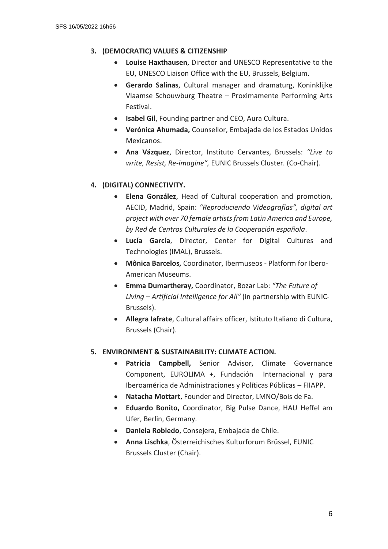#### **3. (DEMOCRATIC) VALUES & CITIZENSHIP**

- **Louise Haxthausen**, Director and UNESCO Representative to the EU, UNESCO Liaison Office with the EU, Brussels, Belgium.
- x **Gerardo Salinas**, Cultural manager and dramaturg, Koninklijke Vlaamse Schouwburg Theatre - Proximamente Performing Arts Festival.
- **Isabel Gil**, Founding partner and CEO, Aura Cultura.
- x **Verónica Ahumada,** Counsellor, Embajada de los Estados Unidos Mexicanos.
- **Ana Vázquez**, Director, Instituto Cervantes, Brussels: "Live to *write, Resist, Re-imagine͟,* EUNIC Brussels Cluster. (Co-Chair).

#### **4. (DIGITAL) CONNECTIVITY.**

- x **Elena González**, Head of Cultural cooperation and promotion, AECID, Madrid, Spain: "Reproduciendo Videografías", digital art *project with over 70 female artists from Latin America and Europe, by Red de Centros Culturales de la Cooperación española*.
- x **Lucía García**, Director, Center for Digital Cultures and Technologies (IMAL), Brussels.
- x **Mônica Barcelos,** Coordinator, Ibermuseos Platform for Ibero-American Museums.
- x **Emma Dumartheray,** Coordinator, Bozar Lab: *͞The Future of Living – Artificial Intelligence for All*<sup> $\prime\prime$  (in partnership with EUNIC-</sup> Brussels).
- x **Allegra Iafrate**, Cultural affairs officer, Istituto Italiano di Cultura, Brussels (Chair).

#### **5. ENVIRONMENT & SUSTAINABILITY: CLIMATE ACTION.**

- **Patricia Campbell,** Senior Advisor, Climate Governance Component, EUROLIMA +, Fundación Internacional y para Iberoamérica de Administraciones y Políticas Públicas - FIIAPP.
- x **Natacha Mottart**, Founder and Director, LMNO/Bois de Fa.
- **Eduardo Bonito, Coordinator, Big Pulse Dance, HAU Heffel am** Ufer, Berlin, Germany.
- x **Daniela Robledo**, Consejera, Embajada de Chile.
- x **Anna Lischka**, Österreichisches Kulturforum Brüssel, EUNIC Brussels Cluster (Chair).